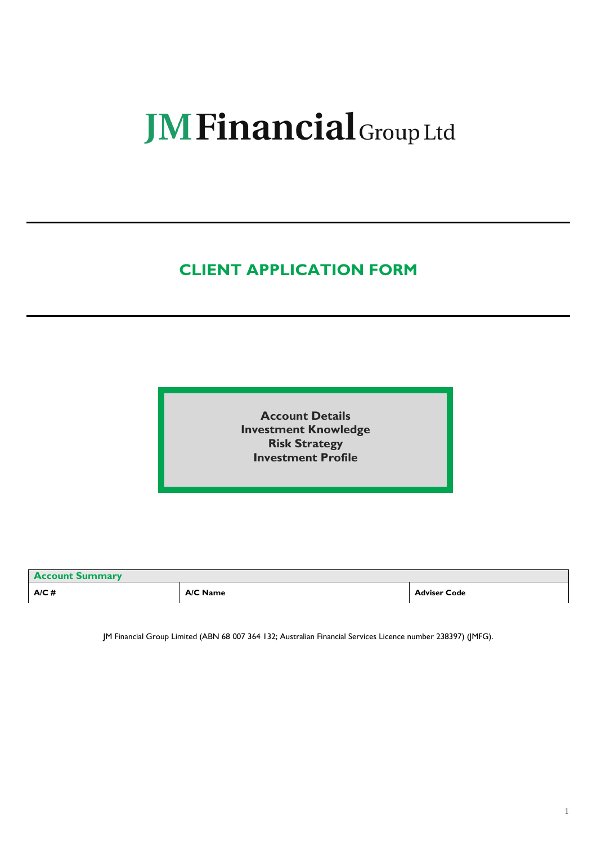# **JM Financial** Group Ltd

# **CLIENT APPLICATION FORM**

**Account Details Investment Knowledge Risk Strategy Investment Profile**

| <b>Account Summary</b> |          |                     |  |
|------------------------|----------|---------------------|--|
| A/C#                   | A/C Name | <b>Adviser Code</b> |  |

JM Financial Group Limited (ABN 68 007 364 132; Australian Financial Services Licence number 238397) (JMFG).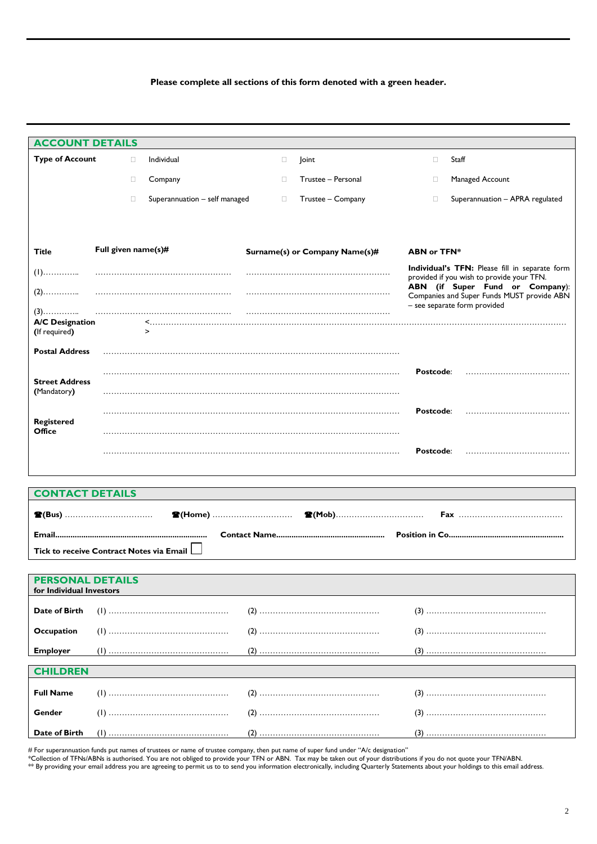## **Please complete all sections of this form denoted with a green header.**

| <b>ACCOUNT DETAILS</b>                              |                     |                               |        |                                |                    |                                                                                             |
|-----------------------------------------------------|---------------------|-------------------------------|--------|--------------------------------|--------------------|---------------------------------------------------------------------------------------------|
| <b>Type of Account</b>                              | $\Box$              | Individual                    | $\Box$ | <b>Joint</b>                   | $\Box$             | Staff                                                                                       |
|                                                     | $\Box$              | Company                       | П.     | Trustee - Personal             | $\Box$             | Managed Account                                                                             |
|                                                     | O                   | Superannuation - self managed | $\Box$ | Trustee - Company              | л                  | Superannuation - APRA regulated                                                             |
|                                                     |                     |                               |        |                                |                    |                                                                                             |
|                                                     |                     |                               |        |                                |                    |                                                                                             |
| Title                                               | Full given name(s)# |                               |        | Surname(s) or Company Name(s)# | <b>ABN or TFN*</b> |                                                                                             |
| $(1)$                                               |                     |                               |        |                                |                    | Individual's TFN: Please fill in separate form<br>provided if you wish to provide your TFN. |
| $(2)$                                               |                     |                               |        |                                |                    | ABN (if Super Fund or Company):<br>Companies and Super Funds MUST provide ABN               |
| $(3)$                                               |                     |                               |        |                                |                    | - see separate form provided                                                                |
| <b>A/C Designation</b><br>(If required)             |                     | $\geq$                        |        |                                |                    |                                                                                             |
| <b>Postal Address</b>                               |                     |                               |        |                                |                    |                                                                                             |
|                                                     |                     |                               |        |                                | Postcode:          |                                                                                             |
| <b>Street Address</b>                               |                     |                               |        |                                |                    |                                                                                             |
| (Mandatory)                                         |                     |                               |        |                                |                    |                                                                                             |
| <b>Registered</b>                                   |                     |                               |        |                                | Postcode:          |                                                                                             |
| Office                                              |                     |                               |        |                                |                    |                                                                                             |
|                                                     |                     |                               |        |                                | Postcode:          |                                                                                             |
|                                                     |                     |                               |        |                                |                    |                                                                                             |
| <b>CONTACT DETAILS</b>                              |                     |                               |        |                                |                    |                                                                                             |
|                                                     |                     | <b>全(Home)</b> …………………………     |        |                                |                    |                                                                                             |
|                                                     |                     |                               |        |                                |                    |                                                                                             |
| Tick to receive Contract Notes via Email L          |                     |                               |        |                                |                    |                                                                                             |
|                                                     |                     |                               |        |                                |                    |                                                                                             |
| <b>PERSONAL DETAILS</b><br>for Individual Investors |                     |                               |        |                                |                    |                                                                                             |
| Date of Birth                                       |                     |                               |        |                                |                    |                                                                                             |
| <b>Occupation</b>                                   |                     |                               |        |                                |                    |                                                                                             |
|                                                     |                     |                               |        |                                |                    |                                                                                             |
| <b>Employer</b>                                     |                     |                               |        |                                |                    |                                                                                             |
| <b>CHILDREN</b>                                     |                     |                               |        |                                |                    |                                                                                             |
| <b>Full Name</b>                                    |                     |                               |        |                                |                    |                                                                                             |
| Gender                                              |                     |                               |        |                                |                    |                                                                                             |
| Date of Birth                                       |                     |                               |        |                                |                    |                                                                                             |

# For superannuation funds put names of trustees or name of trustee company, then put name of super fund under "A/c designation"

\*Collection of TFNs/ABNs is authorised. You are not obliged to provide your TFN or ABN. Tax may be taken out of your distributions if you do not quote your TFN/ABN.

\*\* By providing your email address you are agreeing to permit us to to send you information electronically, including Quarterly Statements about your holdings to this email address.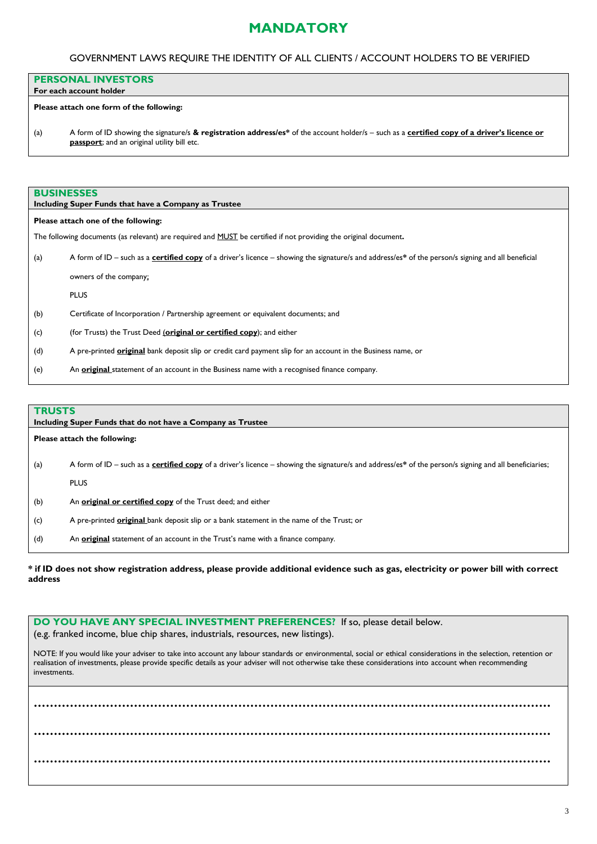### GOVERNMENT LAWS REQUIRE THE IDENTITY OF ALL CLIENTS / ACCOUNT HOLDERS TO BE VERIFIED

### **PERSONAL INVESTORS**

#### **For each account holder**

#### **Please attach one form of the following:**

(a) A form of ID showing the signature/s **& registration address/es\*** of the account holder/s – such as a **certified copy of a driver's licence or passport**; and an original utility bill etc.

## **BUSINESSES**

|     | Including Super Funds that have a Company as Trustee                                                                                               |  |  |  |  |
|-----|----------------------------------------------------------------------------------------------------------------------------------------------------|--|--|--|--|
|     | Please attach one of the following:                                                                                                                |  |  |  |  |
|     | The following documents (as relevant) are required and MUST be certified if not providing the original document.                                   |  |  |  |  |
| (a) | A form of ID – such as a certified copy of a driver's licence – showing the signature/s and address/es* of the person/s signing and all beneficial |  |  |  |  |
|     | owners of the company;                                                                                                                             |  |  |  |  |
|     | <b>PLUS</b>                                                                                                                                        |  |  |  |  |
| (b) | Certificate of Incorporation / Partnership agreement or equivalent documents; and                                                                  |  |  |  |  |
| (c) | (for Trusts) the Trust Deed (original or certified copy); and either                                                                               |  |  |  |  |
| (d) | A pre-printed <b>original</b> bank deposit slip or credit card payment slip for an account in the Business name, or                                |  |  |  |  |
| (e) | An original statement of an account in the Business name with a recognised finance company.                                                        |  |  |  |  |

## **TRUSTS**

|     | .<br>Including Super Funds that do not have a Company as Trustee                                                                                              |  |  |  |  |
|-----|---------------------------------------------------------------------------------------------------------------------------------------------------------------|--|--|--|--|
|     | Please attach the following:                                                                                                                                  |  |  |  |  |
| (a) | A form of ID – such as a <b>certified copy</b> of a driver's licence – showing the signature/s and address/es* of the person/s signing and all beneficiaries; |  |  |  |  |
|     | <b>PLUS</b>                                                                                                                                                   |  |  |  |  |
| (b) | An original or certified copy of the Trust deed; and either                                                                                                   |  |  |  |  |
| (c) | A pre-printed <b>original</b> bank deposit slip or a bank statement in the name of the Trust; or                                                              |  |  |  |  |
| (d) | An <b>original</b> statement of an account in the Trust's name with a finance company.                                                                        |  |  |  |  |

### **\* if ID does not show registration address, please provide additional evidence such as gas, electricity or power bill with correct address**

**DO YOU HAVE ANY SPECIAL INVESTMENT PREFERENCES?** If so, please detail below. (e.g. franked income, blue chip shares, industrials, resources, new listings).

NOTE: If you would like your adviser to take into account any labour standards or environmental, social or ethical considerations in the selection, retention or realisation of investments, please provide specific details as your adviser will not otherwise take these considerations into account when recommending investments.

**………………………………………………………………………………………………………………… ………………………………………………………………………………………………………………… …………………………………………………………………………………………………………………**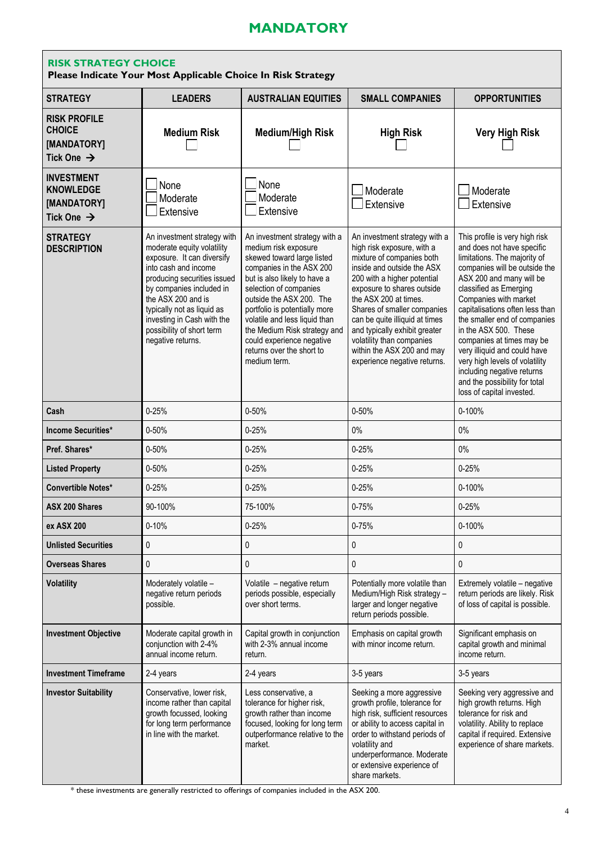| <b>RISK STRATEGY CHOICE</b><br>Please Indicate Your Most Applicable Choice In Risk Strategy |                                                                                                                                                                                                                                                                                                                |                                                                                                                                                                                                                                                                                                                                                                                   |                                                                                                                                                                                                                                                                                                                                                                                                           |                                                                                                                                                                                                                                                                                                                                                                                                                                                                                                     |  |
|---------------------------------------------------------------------------------------------|----------------------------------------------------------------------------------------------------------------------------------------------------------------------------------------------------------------------------------------------------------------------------------------------------------------|-----------------------------------------------------------------------------------------------------------------------------------------------------------------------------------------------------------------------------------------------------------------------------------------------------------------------------------------------------------------------------------|-----------------------------------------------------------------------------------------------------------------------------------------------------------------------------------------------------------------------------------------------------------------------------------------------------------------------------------------------------------------------------------------------------------|-----------------------------------------------------------------------------------------------------------------------------------------------------------------------------------------------------------------------------------------------------------------------------------------------------------------------------------------------------------------------------------------------------------------------------------------------------------------------------------------------------|--|
| <b>STRATEGY</b>                                                                             | <b>LEADERS</b>                                                                                                                                                                                                                                                                                                 | <b>AUSTRALIAN EQUITIES</b>                                                                                                                                                                                                                                                                                                                                                        | <b>SMALL COMPANIES</b>                                                                                                                                                                                                                                                                                                                                                                                    | <b>OPPORTUNITIES</b>                                                                                                                                                                                                                                                                                                                                                                                                                                                                                |  |
| <b>RISK PROFILE</b><br><b>CHOICE</b><br>[MANDATORY]<br>Tick One $\rightarrow$               | <b>Medium Risk</b>                                                                                                                                                                                                                                                                                             | <b>Medium/High Risk</b>                                                                                                                                                                                                                                                                                                                                                           | <b>High Risk</b>                                                                                                                                                                                                                                                                                                                                                                                          | <b>Very High Risk</b>                                                                                                                                                                                                                                                                                                                                                                                                                                                                               |  |
| <b>INVESTMENT</b><br><b>KNOWLEDGE</b><br>[MANDATORY]<br>Tick One $\rightarrow$              | None<br>Moderate<br>Extensive                                                                                                                                                                                                                                                                                  | None<br>Moderate<br>Extensive                                                                                                                                                                                                                                                                                                                                                     | Moderate<br>Extensive                                                                                                                                                                                                                                                                                                                                                                                     | Moderate<br>Extensive                                                                                                                                                                                                                                                                                                                                                                                                                                                                               |  |
| <b>STRATEGY</b><br><b>DESCRIPTION</b>                                                       | An investment strategy with<br>moderate equity volatility<br>exposure. It can diversify<br>into cash and income<br>producing securities issued<br>by companies included in<br>the ASX 200 and is<br>typically not as liquid as<br>investing in Cash with the<br>possibility of short term<br>negative returns. | An investment strategy with a<br>medium risk exposure<br>skewed toward large listed<br>companies in the ASX 200<br>but is also likely to have a<br>selection of companies<br>outside the ASX 200. The<br>portfolio is potentially more<br>volatile and less liquid than<br>the Medium Risk strategy and<br>could experience negative<br>returns over the short to<br>medium term. | An investment strategy with a<br>high risk exposure, with a<br>mixture of companies both<br>inside and outside the ASX<br>200 with a higher potential<br>exposure to shares outside<br>the ASX 200 at times.<br>Shares of smaller companies<br>can be quite illiquid at times<br>and typically exhibit greater<br>volatility than companies<br>within the ASX 200 and may<br>experience negative returns. | This profile is very high risk<br>and does not have specific<br>limitations. The majority of<br>companies will be outside the<br>ASX 200 and many will be<br>classified as Emerging<br>Companies with market<br>capitalisations often less than<br>the smaller end of companies<br>in the ASX 500. These<br>companies at times may be<br>very illiquid and could have<br>very high levels of volatility<br>including negative returns<br>and the possibility for total<br>loss of capital invested. |  |
| Cash                                                                                        | $0 - 25%$                                                                                                                                                                                                                                                                                                      | 0-50%                                                                                                                                                                                                                                                                                                                                                                             | 0-50%                                                                                                                                                                                                                                                                                                                                                                                                     | 0-100%                                                                                                                                                                                                                                                                                                                                                                                                                                                                                              |  |
| <b>Income Securities*</b>                                                                   | $0 - 50%$                                                                                                                                                                                                                                                                                                      | $0 - 25%$                                                                                                                                                                                                                                                                                                                                                                         | 0%                                                                                                                                                                                                                                                                                                                                                                                                        | 0%                                                                                                                                                                                                                                                                                                                                                                                                                                                                                                  |  |
| Pref. Shares*                                                                               | $0 - 50%$                                                                                                                                                                                                                                                                                                      | $0 - 25%$                                                                                                                                                                                                                                                                                                                                                                         | $0 - 25%$                                                                                                                                                                                                                                                                                                                                                                                                 | 0%                                                                                                                                                                                                                                                                                                                                                                                                                                                                                                  |  |
| <b>Listed Property</b>                                                                      | $0 - 50%$                                                                                                                                                                                                                                                                                                      | $0 - 25%$                                                                                                                                                                                                                                                                                                                                                                         | $0 - 25%$                                                                                                                                                                                                                                                                                                                                                                                                 | $0 - 25%$                                                                                                                                                                                                                                                                                                                                                                                                                                                                                           |  |
| <b>Convertible Notes*</b>                                                                   | $0 - 25%$                                                                                                                                                                                                                                                                                                      | $0 - 25%$                                                                                                                                                                                                                                                                                                                                                                         | $0 - 25%$                                                                                                                                                                                                                                                                                                                                                                                                 | $0 - 100%$                                                                                                                                                                                                                                                                                                                                                                                                                                                                                          |  |
| <b>ASX 200 Shares</b>                                                                       | 90-100%                                                                                                                                                                                                                                                                                                        | 75-100%                                                                                                                                                                                                                                                                                                                                                                           | $0 - 75%$                                                                                                                                                                                                                                                                                                                                                                                                 | $0 - 25%$                                                                                                                                                                                                                                                                                                                                                                                                                                                                                           |  |
| ex ASX 200                                                                                  | $0 - 10%$                                                                                                                                                                                                                                                                                                      | $0 - 25%$                                                                                                                                                                                                                                                                                                                                                                         | $0 - 75%$                                                                                                                                                                                                                                                                                                                                                                                                 | 0-100%                                                                                                                                                                                                                                                                                                                                                                                                                                                                                              |  |
| <b>Unlisted Securities</b>                                                                  | 0                                                                                                                                                                                                                                                                                                              | 0                                                                                                                                                                                                                                                                                                                                                                                 | 0                                                                                                                                                                                                                                                                                                                                                                                                         | 0                                                                                                                                                                                                                                                                                                                                                                                                                                                                                                   |  |
| <b>Overseas Shares</b>                                                                      | 0                                                                                                                                                                                                                                                                                                              | 0                                                                                                                                                                                                                                                                                                                                                                                 | 0                                                                                                                                                                                                                                                                                                                                                                                                         | 0                                                                                                                                                                                                                                                                                                                                                                                                                                                                                                   |  |
| <b>Volatility</b>                                                                           | Moderately volatile -<br>negative return periods<br>possible.                                                                                                                                                                                                                                                  | Volatile - negative return<br>periods possible, especially<br>over short terms.                                                                                                                                                                                                                                                                                                   | Potentially more volatile than<br>Medium/High Risk strategy -<br>larger and longer negative<br>return periods possible.                                                                                                                                                                                                                                                                                   | Extremely volatile - negative<br>return periods are likely. Risk<br>of loss of capital is possible.                                                                                                                                                                                                                                                                                                                                                                                                 |  |
| <b>Investment Objective</b>                                                                 | Moderate capital growth in<br>conjunction with 2-4%<br>annual income return.                                                                                                                                                                                                                                   | Capital growth in conjunction<br>with 2-3% annual income<br>return.                                                                                                                                                                                                                                                                                                               | Emphasis on capital growth<br>with minor income return.                                                                                                                                                                                                                                                                                                                                                   | Significant emphasis on<br>capital growth and minimal<br>income return.                                                                                                                                                                                                                                                                                                                                                                                                                             |  |
| <b>Investment Timeframe</b>                                                                 | 2-4 years                                                                                                                                                                                                                                                                                                      | 2-4 years                                                                                                                                                                                                                                                                                                                                                                         | 3-5 years                                                                                                                                                                                                                                                                                                                                                                                                 | 3-5 years                                                                                                                                                                                                                                                                                                                                                                                                                                                                                           |  |
| <b>Investor Suitability</b>                                                                 | Conservative, lower risk,<br>income rather than capital<br>growth focussed, looking<br>for long term performance<br>in line with the market.                                                                                                                                                                   | Less conservative, a<br>tolerance for higher risk,<br>growth rather than income<br>focused, looking for long term<br>outperformance relative to the<br>market.                                                                                                                                                                                                                    | Seeking a more aggressive<br>growth profile, tolerance for<br>high risk, sufficient resources<br>or ability to access capital in<br>order to withstand periods of<br>volatility and<br>underperformance. Moderate<br>or extensive experience of<br>share markets.                                                                                                                                         | Seeking very aggressive and<br>high growth returns. High<br>tolerance for risk and<br>volatility. Ability to replace<br>capital if required. Extensive<br>experience of share markets.                                                                                                                                                                                                                                                                                                              |  |

\* these investments are generally restricted to offerings of companies included in the ASX 200.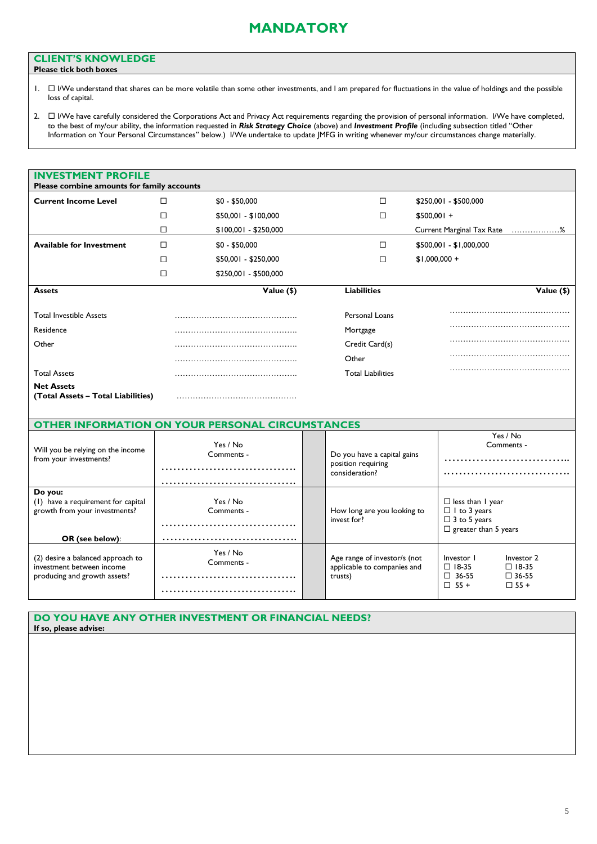## **CLIENT'S KNOWLEDGE**

- **Please tick both boxes**
- 1. □ I/We understand that shares can be more volatile than some other investments, and I am prepared for fluctuations in the value of holdings and the possible loss of capital.
- 2.  $\Box$  I/We have carefully considered the Corporations Act and Privacy Act requirements regarding the provision of personal information. I/We have completed, to the best of my/our ability, the information requested in *Risk Strategy Choice* (above) and *Investment Profile* (including subsection titled "Other Information on Your Personal Circumstances" below.) I/We undertake to update JMFG in writing whenever my/our circumstances change materially.

| <b>INVESTMENT PROFILE</b><br>Please combine amounts for family accounts                           |                                                         |                                                                                                                                                                                                        |  |  |  |  |
|---------------------------------------------------------------------------------------------------|---------------------------------------------------------|--------------------------------------------------------------------------------------------------------------------------------------------------------------------------------------------------------|--|--|--|--|
| <b>Current Income Level</b>                                                                       | □<br>$$0 - $50,000$                                     | □<br>\$250,001 - \$500,000                                                                                                                                                                             |  |  |  |  |
|                                                                                                   | □<br>$$50,001 - $100,000$                               | $\Box$<br>$$500,001 +$                                                                                                                                                                                 |  |  |  |  |
|                                                                                                   | \$100,001 - \$250,000<br>□                              | Current Marginal Tax Rate %                                                                                                                                                                            |  |  |  |  |
| <b>Available for Investment</b>                                                                   | □<br>$$0 - $50,000$                                     | □<br>\$500,001 - \$1,000,000                                                                                                                                                                           |  |  |  |  |
|                                                                                                   | □<br>\$50,001 - \$250,000                               | $\Box$<br>$$1,000,000 +$                                                                                                                                                                               |  |  |  |  |
|                                                                                                   | □<br>\$250,001 - \$500,000                              |                                                                                                                                                                                                        |  |  |  |  |
| <b>Assets</b>                                                                                     | Value (\$)                                              | <b>Liabilities</b><br>Value (\$)                                                                                                                                                                       |  |  |  |  |
| <b>Total Investible Assets</b>                                                                    |                                                         | Personal Loans                                                                                                                                                                                         |  |  |  |  |
| Residence                                                                                         |                                                         | Mortgage                                                                                                                                                                                               |  |  |  |  |
| Other                                                                                             |                                                         | Credit Card(s)                                                                                                                                                                                         |  |  |  |  |
|                                                                                                   |                                                         | Other                                                                                                                                                                                                  |  |  |  |  |
| <b>Total Assets</b>                                                                               |                                                         | <b>Total Liabilities</b>                                                                                                                                                                               |  |  |  |  |
| <b>Net Assets</b><br>(Total Assets - Total Liabilities)                                           |                                                         |                                                                                                                                                                                                        |  |  |  |  |
|                                                                                                   | <b>OTHER INFORMATION ON YOUR PERSONAL CIRCUMSTANCES</b> |                                                                                                                                                                                                        |  |  |  |  |
| Will you be relying on the income<br>from your investments?                                       | Yes / No<br>Comments -                                  | Yes / No<br>Comments -<br>Do you have a capital gains<br>position requiring<br>consideration?                                                                                                          |  |  |  |  |
| Do you:<br>(1) have a requirement for capital<br>growth from your investments?<br>OR (see below): | Yes / No<br>Comments -                                  | $\Box$ less than I year<br>$\Box$ I to 3 years<br>How long are you looking to<br>invest for?<br>$\Box$ 3 to 5 years<br>$\Box$ greater than 5 years                                                     |  |  |  |  |
|                                                                                                   |                                                         |                                                                                                                                                                                                        |  |  |  |  |
| (2) desire a balanced approach to<br>investment between income<br>producing and growth assets?    | Yes / No<br>Comments -                                  | Age range of investor/s (not<br>Investor I<br>Investor 2<br>applicable to companies and<br>$\Box$ 18-35<br>$\Box$ 18-35<br>$\square$ 36-55<br>$\square$ 36-55<br>trusts)<br>$\Box$ 55 +<br>$\Box$ 55 + |  |  |  |  |

## **DO YOU HAVE ANY OTHER INVESTMENT OR FINANCIAL NEEDS? If so, please advise:**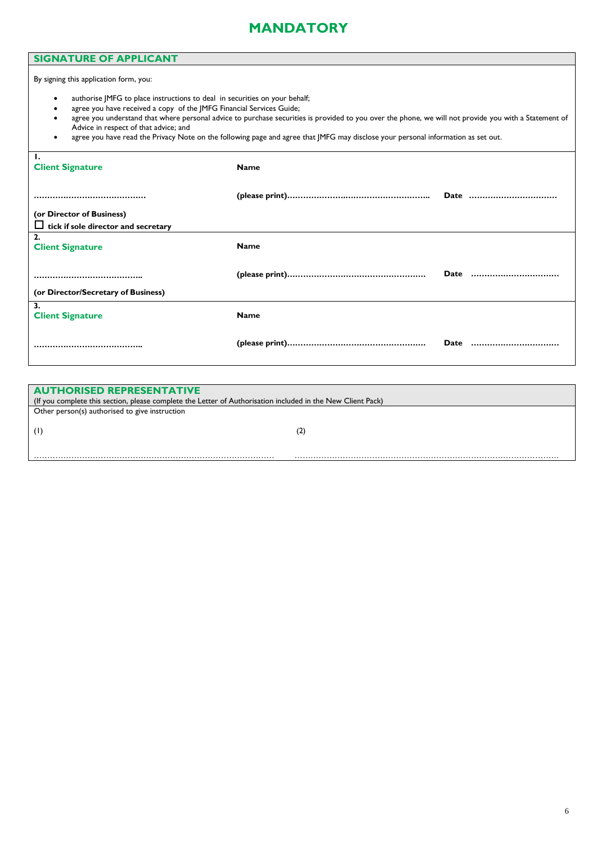## **SIGNATURE OF APPLICANT**

By signing this application form, you:

- authorise JMFG to place instructions to deal in securities on your behalf;
- agree you have received a copy of the JMFG Financial Services Guide;
- agree you understand that where personal advice to purchase securities is provided to you over the phone, we will not provide you with a Statement of Advice in respect of that advice; and
- agree you have read the Privacy Note on the following page and agree that JMFG may disclose your personal information as set out.

| Ι.<br><b>Client Signature</b>              | <b>Name</b> |      |      |
|--------------------------------------------|-------------|------|------|
|                                            |             |      | Date |
| (or Director of Business)                  |             |      |      |
| $\Box$ tick if sole director and secretary |             |      |      |
| 2.                                         |             |      |      |
| <b>Client Signature</b>                    | <b>Name</b> |      |      |
|                                            |             |      | Date |
|                                            |             |      |      |
| (or Director/Secretary of Business)        |             |      |      |
| 3.                                         |             |      |      |
| <b>Client Signature</b>                    | <b>Name</b> |      |      |
|                                            |             |      |      |
|                                            |             | Date |      |

| <b>AUTHORISED REPRESENTATIVE</b>                                                                            |    |  |  |
|-------------------------------------------------------------------------------------------------------------|----|--|--|
| (If you complete this section, please complete the Letter of Authorisation included in the New Client Pack) |    |  |  |
| Other person(s) authorised to give instruction                                                              |    |  |  |
|                                                                                                             |    |  |  |
|                                                                                                             | (2 |  |  |
|                                                                                                             |    |  |  |
|                                                                                                             |    |  |  |
|                                                                                                             |    |  |  |